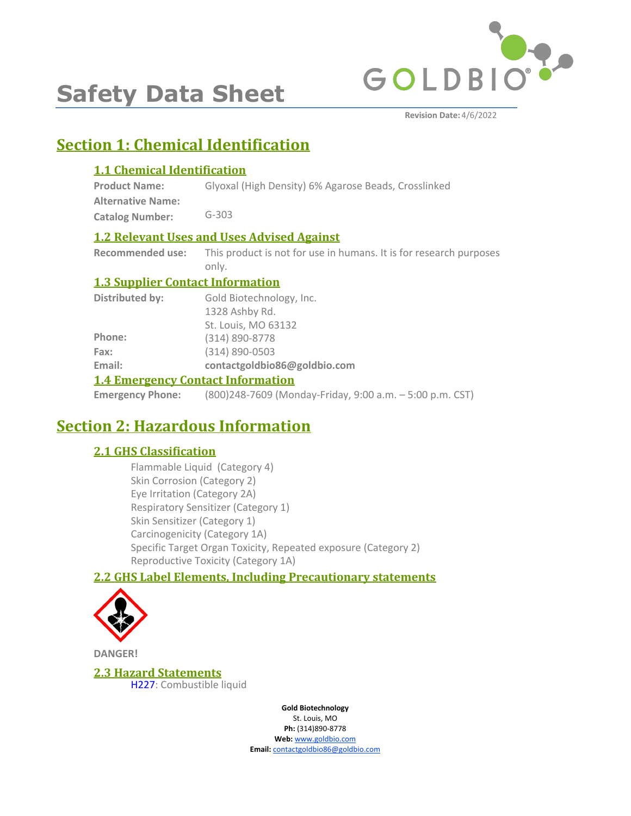

# **Safety Data Sheet**

## **Section 1: Chemical Identification**

#### **1.1 Chemical Identification**

**Product Name: Alternative Name:** Glyoxal (High Density) 6% Agarose Beads, Crosslinked

**Catalog Number:** G-303

#### **1.2 Relevant Uses and Uses Advised Against**

**Recommended use:** This product is not for use in humans. It is for research purposes only.

#### **1.3 Supplier Contact Information**

| 1.4 Emergency Contact Information |                              |  |
|-----------------------------------|------------------------------|--|
| Email:                            | contactgoldbio86@goldbio.com |  |
| Fax:                              | $(314) 890 - 0503$           |  |
| Phone:                            | $(314) 890 - 8778$           |  |
|                                   | St. Louis, MO 63132          |  |
|                                   | 1328 Ashby Rd.               |  |
| Distributed by:                   | Gold Biotechnology, Inc.     |  |

#### **1.4 Emergency Contact Information**

**Emergency Phone:** (800)248-7609 (Monday-Friday, 9:00 a.m. – 5:00 p.m. CST)

## **Section 2: Hazardous Information**

### **2.1 GHS Classification**

Flammable Liquid (Category 4) Skin Corrosion (Category 2) Eye Irritation (Category 2A) Respiratory Sensitizer (Category 1) Skin Sensitizer (Category 1) Carcinogenicity (Category 1A) Specific Target Organ Toxicity, Repeated exposure (Category 2) Reproductive Toxicity (Category 1A)

### **2.2 GHS Label Elements, Including Precautionary statements**



**DANGER!**

**2.3 Hazard Statements** H227: Combustible liquid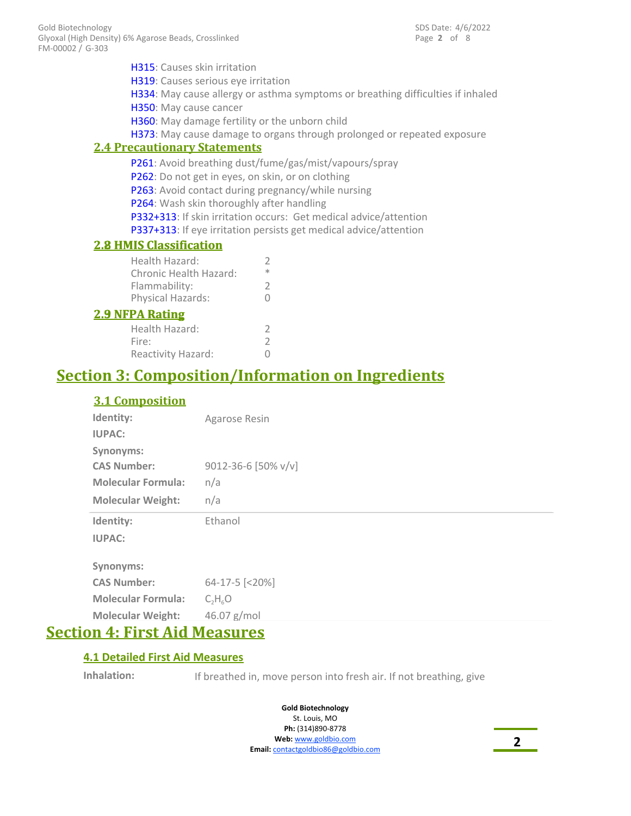Page **2** of 8 SDS Date: 4/6/2022

**2.4 Precautionary Statements** H315: Causes skin irritation H319: Causes serious eye irritation H334: May cause allergy or asthma symptoms or breathing difficulties if inhaled H350: May cause cancer H360: May damage fertility or the unborn child H373: May cause damage to organs through prolonged or repeated exposure P261: Avoid breathing dust/fume/gas/mist/vapours/spray P262: Do not get in eyes, on skin, or on clothing P263: Avoid contact during pregnancy/while nursing P264: Wash skin thoroughly after handling P332+313: If skin irritation occurs: Get medical advice/attention P337+313: If eye irritation persists get medical advice/attention **2.8 HMIS Classification** Health Hazard: 2

| <b>2.8 HMIS Classification</b> |   |
|--------------------------------|---|
| Health Hazard:                 | V |
| Chronic Health Hazard:         | * |
| Flammability:                  | V |
| Physical Hazards:              | Ω |
| <b>2.9 NFPA Rating</b>         |   |

| Health Hazard:     | 2 |
|--------------------|---|
| Fire:              | 2 |
| Reactivity Hazard: | 0 |

### **Section 3: Composition/Information on Ingredients**

#### **3.1 Composition**

| Identity:                 | Agarose Resin       |
|---------------------------|---------------------|
| <b>IUPAC:</b>             |                     |
| <b>Synonyms:</b>          |                     |
| <b>CAS Number:</b>        | 9012-36-6 [50% v/v] |
| <b>Molecular Formula:</b> | n/a                 |
| <b>Molecular Weight:</b>  | n/a                 |
| Identity:                 | Ethanol             |
| <b>IUPAC:</b>             |                     |
| <b>Synonyms:</b>          |                     |
| <b>CAS Number:</b>        | 64-17-5 [<20%]      |
| <b>Molecular Formula:</b> | $C_2H_6O$           |
| <b>Molecular Weight:</b>  | 46.07 g/mol         |

### **Section 4: First Aid Measures**

#### **4.1 Detailed First Aid Measures**

**Inhalation:** If breathed in, move person into fresh air. If not breathing, give

**Gold Biotechnology** St. Louis, MO **Ph:** (314)890-8778

**Web:** www.goldbio.com **Email:** contactgoldbio86@goldbio.com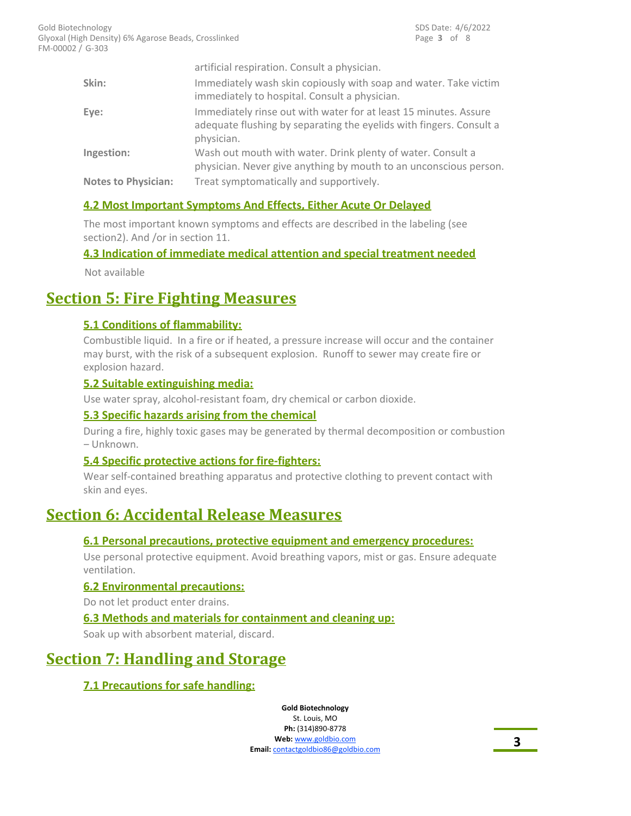|                            | artificial respiration. Consult a physician.                                                                                                          |
|----------------------------|-------------------------------------------------------------------------------------------------------------------------------------------------------|
| Skin:                      | Immediately wash skin copiously with soap and water. Take victim<br>immediately to hospital. Consult a physician.                                     |
| Eye:                       | Immediately rinse out with water for at least 15 minutes. Assure<br>adequate flushing by separating the eyelids with fingers. Consult a<br>physician. |
| Ingestion:                 | Wash out mouth with water. Drink plenty of water. Consult a<br>physician. Never give anything by mouth to an unconscious person.                      |
| <b>Notes to Physician:</b> | Treat symptomatically and supportively.                                                                                                               |

#### **4.2 Most Important Symptoms And Effects, Either Acute Or Delayed**

The most important known symptoms and effects are described in the labeling (see section2). And /or in section 11.

#### **4.3 Indication of immediate medical attention and special treatment needed**

Not available

### **Section 5: Fire Fighting Measures**

#### **5.1 Conditions of flammability:**

Combustible liquid. In a fire or if heated, a pressure increase will occur and the container may burst, with the risk of a subsequent explosion. Runoff to sewer may create fire or explosion hazard.

#### **5.2 Suitable extinguishing media:**

Use water spray, alcohol-resistant foam, dry chemical or carbon dioxide.

#### **5.3 Specific hazards arising from the chemical**

During a fire, highly toxic gases may be generated by thermal decomposition or combustion – Unknown.

#### **5.4 Specific protective actions for fire-fighters:**

Wear self-contained breathing apparatus and protective clothing to prevent contact with skin and eyes.

### **Section 6: Accidental Release Measures**

#### **6.1 Personal precautions, protective equipment and emergency procedures:**

Use personal protective equipment. Avoid breathing vapors, mist or gas. Ensure adequate ventilation.

#### **6.2 Environmental precautions:**

Do not let product enter drains.

#### **6.3 Methods and materials for containment and cleaning up:**

Soak up with absorbent material, discard.

### **Section 7: Handling and Storage**

#### **7.1 Precautions for safe handling:**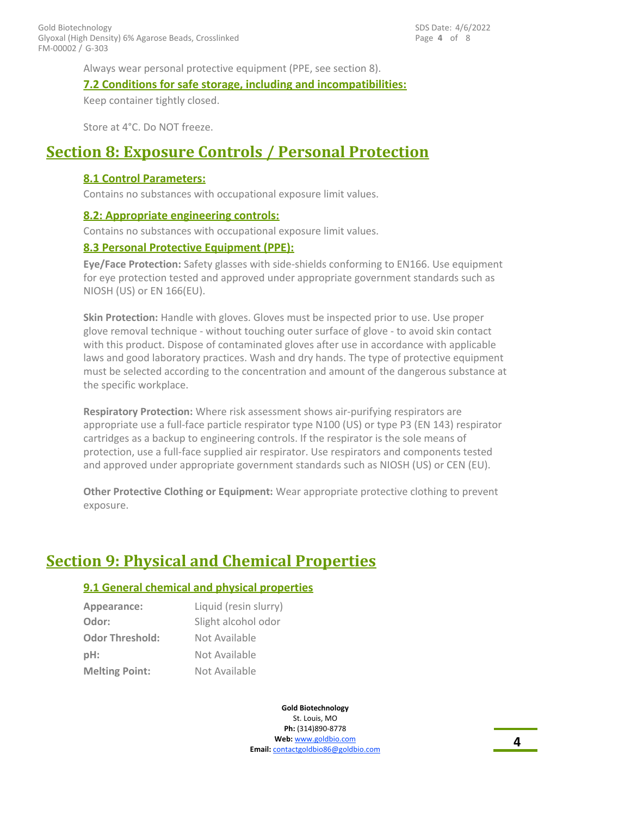Always wear personal protective equipment (PPE, see section 8).

#### **7.2 Conditions for safe storage, including and incompatibilities:**

Keep container tightly closed.

Store at 4°C. Do NOT freeze.

### **Section 8: Exposure Controls / Personal Protection**

#### **8.1 Control Parameters:**

Contains no substances with occupational exposure limit values.

#### **8.2: Appropriate engineering controls:**

Contains no substances with occupational exposure limit values.

#### **8.3 Personal Protective Equipment (PPE):**

**Eye/Face Protection:** Safety glasses with side-shields conforming to EN166. Use equipment for eye protection tested and approved under appropriate government standards such as NIOSH (US) or EN 166(EU).

**Skin Protection:** Handle with gloves. Gloves must be inspected prior to use. Use proper glove removal technique - without touching outer surface of glove - to avoid skin contact with this product. Dispose of contaminated gloves after use in accordance with applicable laws and good laboratory practices. Wash and dry hands. The type of protective equipment must be selected according to the concentration and amount of the dangerous substance at the specific workplace.

**Respiratory Protection:** Where risk assessment shows air-purifying respirators are appropriate use a full-face particle respirator type N100 (US) or type P3 (EN 143) respirator cartridges as a backup to engineering controls. If the respirator is the sole means of protection, use a full-face supplied air respirator. Use respirators and components tested and approved under appropriate government standards such as NIOSH (US) or CEN (EU).

**Other Protective Clothing or Equipment:** Wear appropriate protective clothing to prevent exposure.

## **Section 9: Physical and Chemical Properties**

#### **9.1 General chemical and physical properties**

| Appearance:            | Liquid (resin slurry) |
|------------------------|-----------------------|
| Odor:                  | Slight alcohol odor   |
| <b>Odor Threshold:</b> | Not Available         |
| $pH$ :                 | Not Available         |
| <b>Melting Point:</b>  | Not Available         |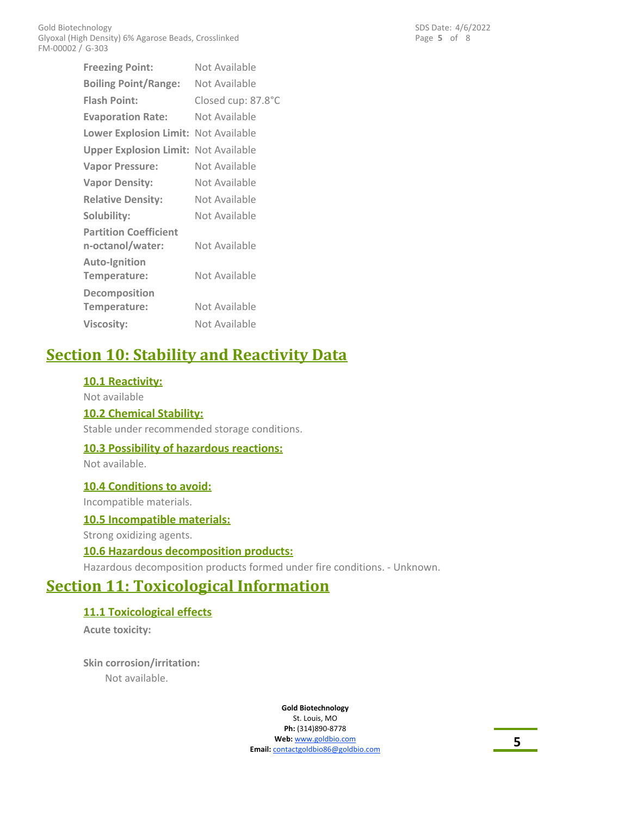**Freezing Point:** Not Available **Flash Point:** Closed cup: 87.8°C **Evaporation Rate:** Not Available **Lower Explosion Limit:** Not Available **Upper Explosion Limit:** Not Available **Vapor Pressure:** Not Available **Vapor Density:** Not Available **Relative Density:** Not Available **Solubility:** Not Available **Partition Coefficient n-octanol/water:** Not Available **Auto-Ignition Temperature:** Not Available **Decomposition** Temperature: Not Available **Viscosity:** Not Available **Boiling Point/Range:** Not Available

## **Section 10: Stability and Reactivity Data**

#### **10.1 Reactivity:**

Not available **10.2 Chemical Stability:** Stable under recommended storage conditions.

#### **10.3 Possibility of hazardous reactions:**

Not available.

#### **10.4 Conditions to avoid:**

Incompatible materials.

#### **10.5 Incompatible materials:**

Strong oxidizing agents.

#### **10.6 Hazardous decomposition products:**

Hazardous decomposition products formed under fire conditions. - Unknown.

### **Section 11: Toxicological Information**

#### **11.1 Toxicological effects**

**Acute toxicity:**

**Skin corrosion/irritation:** Not available.

> **Gold Biotechnology** St. Louis, MO **Ph:** (314)890-8778 **Web:** www.goldbio.com **Email:** contactgoldbio86@goldbio.com

Page **5** of 8 SDS Date: 4/6/2022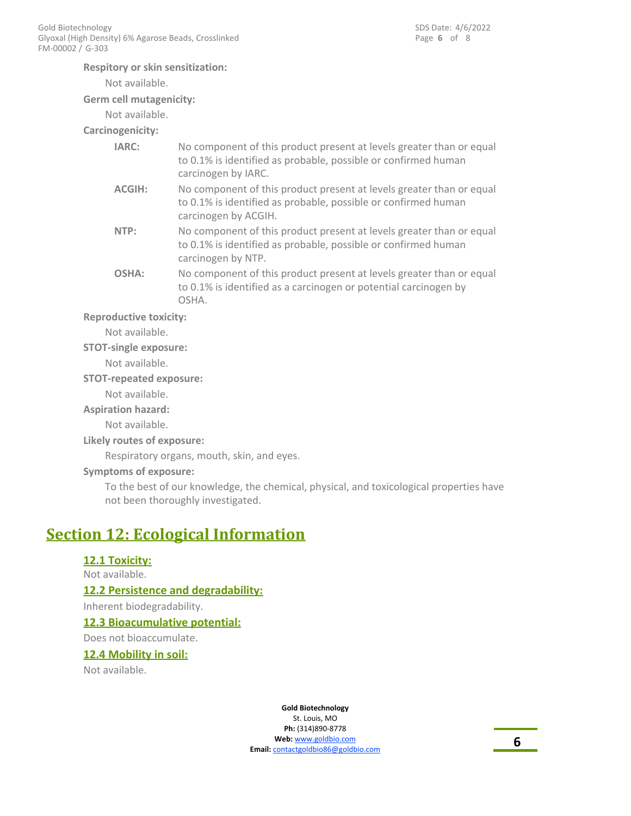#### **Respitory or skin sensitization:**

Not available.

#### **Germ cell mutagenicity:**

Not available.

### **Carcinogenicity:**

| IARC:         | No component of this product present at levels greater than or equal<br>to 0.1% is identified as probable, possible or confirmed human<br>carcinogen by IARC.  |
|---------------|----------------------------------------------------------------------------------------------------------------------------------------------------------------|
| <b>ACGIH:</b> | No component of this product present at levels greater than or equal<br>to 0.1% is identified as probable, possible or confirmed human<br>carcinogen by ACGIH. |
| NTP:          | No component of this product present at levels greater than or equal<br>to 0.1% is identified as probable, possible or confirmed human<br>carcinogen by NTP.   |
| OSHA:         | No component of this product present at levels greater than or equal<br>to 0.1% is identified as a carcinogen or potential carcinogen by<br>OSHA.              |

#### **Reproductive toxicity:**

Not available.

#### **STOT-single exposure:**

Not available.

#### **STOT-repeated exposure:**

Not available.

#### **Aspiration hazard:**

Not available.

#### **Likely routes of exposure:**

Respiratory organs, mouth, skin, and eyes.

#### **Symptoms of exposure:**

To the best of our knowledge, the chemical, physical, and toxicological properties have not been thoroughly investigated.

### **Section 12: Ecological Information**

#### **12.1 Toxicity:**

Not available.

#### **12.2 Persistence and degradability:**

Inherent biodegradability.

#### **12.3 Bioacumulative potential:**

Does not bioaccumulate.

#### **12.4 Mobility in soil:**

Not available.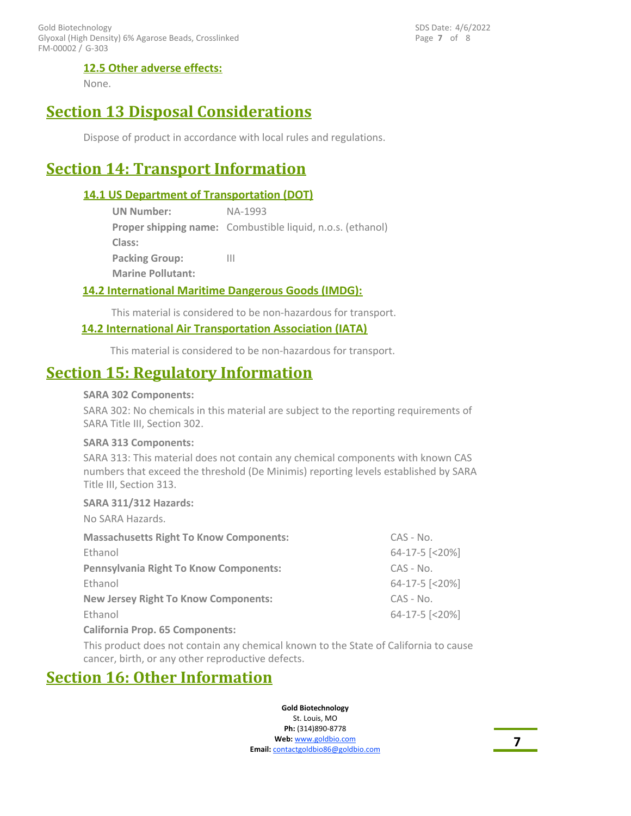FM-00002 / G-303 Gold Biotechnology Glyoxal (High Density) 6% Agarose Beads, Crosslinked Page **7** of 8 SDS Date: 4/6/2022

#### **12.5 Other adverse effects:**

None.

### **Section 13 Disposal Considerations**

Dispose of product in accordance with local rules and regulations.

### **Section 14: Transport Information**

#### **14.1 US Department of Transportation (DOT)**

| <b>UN Number:</b>        | NA-1993                                                           |
|--------------------------|-------------------------------------------------------------------|
|                          | <b>Proper shipping name:</b> Combustible liquid, n.o.s. (ethanol) |
| Class:                   |                                                                   |
| <b>Packing Group:</b>    | Ш                                                                 |
| <b>Marine Pollutant:</b> |                                                                   |

#### **14.2 International Maritime Dangerous Goods (IMDG):**

This material is considered to be non-hazardous for transport.

#### **14.2 International Air Transportation Association (IATA)**

This material is considered to be non-hazardous for transport.

### **Section 15: Regulatory Information**

#### **SARA 302 Components:**

SARA 302: No chemicals in this material are subject to the reporting requirements of SARA Title III, Section 302.

#### **SARA 313 Components:**

SARA 313: This material does not contain any chemical components with known CAS numbers that exceed the threshold (De Minimis) reporting levels established by SARA Title III, Section 313.

#### **SARA 311/312 Hazards:**

| No SARA Hazards.                               |                |
|------------------------------------------------|----------------|
| <b>Massachusetts Right To Know Components:</b> | $CAS - No.$    |
| Ethanol                                        | 64-17-5 [<20%] |
| <b>Pennsylvania Right To Know Components:</b>  | $CAS - No.$    |
| Ethanol                                        | 64-17-5 [<20%] |
| <b>New Jersey Right To Know Components:</b>    | $CAS - No.$    |
| Ethanol                                        | 64-17-5 [<20%] |
| <b>California Prop. 65 Components:</b>         |                |

This product does not contain any chemical known to the State of California to cause cancer, birth, or any other reproductive defects.

### **Section 16: Other Information**